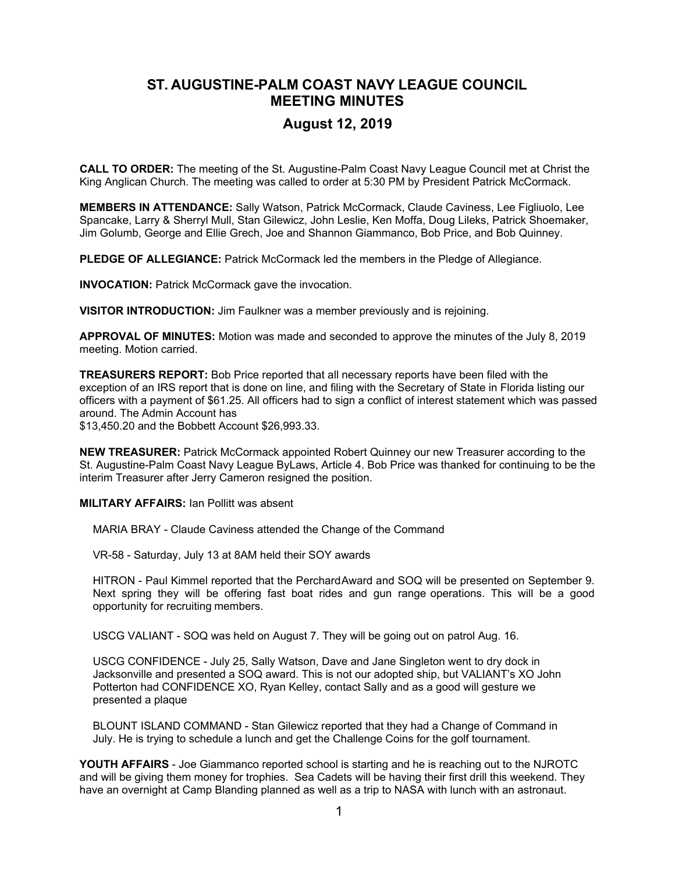## **ST. AUGUSTINE-PALM COAST NAVY LEAGUE COUNCIL MEETING MINUTES**

## **August 12, 2019**

**CALL TO ORDER:** The meeting of the St. Augustine-Palm Coast Navy League Council met at Christ the King Anglican Church. The meeting was called to order at 5:30 PM by President Patrick McCormack.

**MEMBERS IN ATTENDANCE:** Sally Watson, Patrick McCormack, Claude Caviness, Lee Figliuolo, Lee Spancake, Larry & Sherryl Mull, Stan Gilewicz, John Leslie, Ken Moffa, Doug Lileks, Patrick Shoemaker, Jim Golumb, George and Ellie Grech, Joe and Shannon Giammanco, Bob Price, and Bob Quinney.

**PLEDGE OF ALLEGIANCE:** Patrick McCormack led the members in the Pledge of Allegiance.

**INVOCATION:** Patrick McCormack gave the invocation.

**VISITOR INTRODUCTION:** Jim Faulkner was a member previously and is rejoining.

**APPROVAL OF MINUTES:** Motion was made and seconded to approve the minutes of the July 8, 2019 meeting. Motion carried.

**TREASURERS REPORT:** Bob Price reported that all necessary reports have been filed with the exception of an IRS report that is done on line, and filing with the Secretary of State in Florida listing our officers with a payment of \$61.25. All officers had to sign a conflict of interest statement which was passed around. The Admin Account has

\$13,450.20 and the Bobbett Account \$26,993.33.

**NEW TREASURER:** Patrick McCormack appointed Robert Quinney our new Treasurer according to the St. Augustine-Palm Coast Navy League ByLaws, Article 4. Bob Price was thanked for continuing to be the interim Treasurer after Jerry Cameron resigned the position.

**MILITARY AFFAIRS:** Ian Pollitt was absent

MARIA BRAY - Claude Caviness attended the Change of the Command

VR-58 - Saturday, July 13 at 8AM held their SOY awards

HITRON - Paul Kimmel reported that the Perchard Award and SOQ will be presented on September 9. Next spring they will be offering fast boat rides and gun range operations. This will be a good opportunity for recruiting members.

USCG VALIANT - SOQ was held on August 7. They will be going out on patrol Aug. 16.

USCG CONFIDENCE - July 25, Sally Watson, Dave and Jane Singleton went to dry dock in Jacksonville and presented a SOQ award. This is not our adopted ship, but VALIANT's XO John Potterton had CONFIDENCE XO, Ryan Kelley, contact Sally and as a good will gesture we presented a plaque

BLOUNT ISLAND COMMAND - Stan Gilewicz reported that they had a Change of Command in July. He is trying to schedule a lunch and get the Challenge Coins for the golf tournament.

**YOUTH AFFAIRS** - Joe Giammanco reported school is starting and he is reaching out to the NJROTC and will be giving them money for trophies. Sea Cadets will be having their first drill this weekend. They have an overnight at Camp Blanding planned as well as a trip to NASA with lunch with an astronaut.